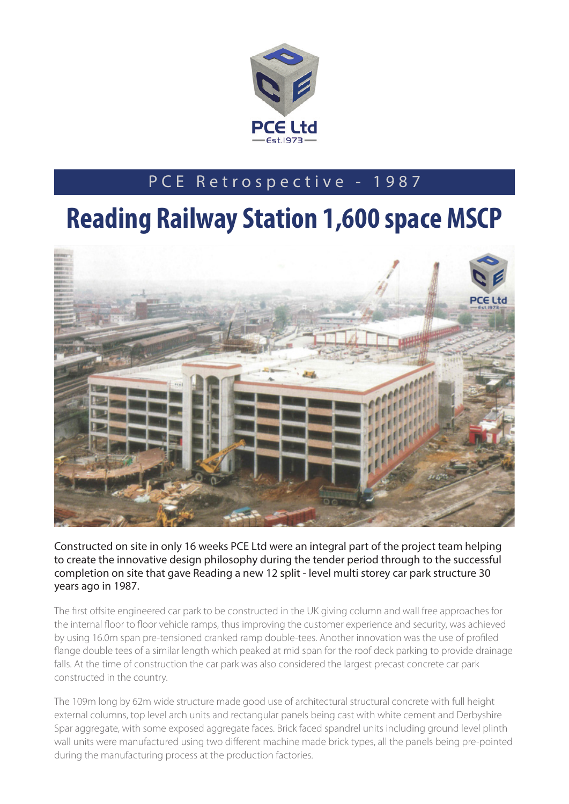

## PCE Retrospective - 1987

## **Reading Railway Station 1,600 space MSCP**



Constructed on site in only 16 weeks PCE Ltd were an integral part of the project team helping to create the innovative design philosophy during the tender period through to the successful completion on site that gave Reading a new 12 split - level multi storey car park structure 30 years ago in 1987.

The first offsite engineered car park to be constructed in the UK giving column and wall free approaches for the internal floor to floor vehicle ramps, thus improving the customer experience and security, was achieved by using 16.0m span pre-tensioned cranked ramp double-tees. Another innovation was the use of profiled flange double tees of a similar length which peaked at mid span for the roof deck parking to provide drainage falls. At the time of construction the car park was also considered the largest precast concrete car park constructed in the country.

The 109m long by 62m wide structure made good use of architectural structural concrete with full height external columns, top level arch units and rectangular panels being cast with white cement and Derbyshire Spar aggregate, with some exposed aggregate faces. Brick faced spandrel units including ground level plinth wall units were manufactured using two different machine made brick types, all the panels being pre-pointed during the manufacturing process at the production factories.